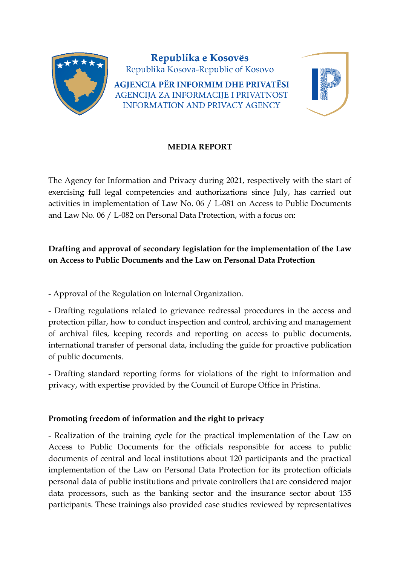

## **MEDIA REPORT**

The Agency for Information and Privacy during 2021, respectively with the start of exercising full legal competencies and authorizations since July, has carried out activities in implementation of Law No. 06 / L-081 on Access to Public Documents and Law No. 06 / L-082 on Personal Data Protection, with a focus on:

# **Drafting and approval of secondary legislation for the implementation of the Law on Access to Public Documents and the Law on Personal Data Protection**

- Approval of the Regulation on Internal Organization.

- Drafting regulations related to grievance redressal procedures in the access and protection pillar, how to conduct inspection and control, archiving and management of archival files, keeping records and reporting on access to public documents, international transfer of personal data, including the guide for proactive publication of public documents.

- Drafting standard reporting forms for violations of the right to information and privacy, with expertise provided by the Council of Europe Office in Pristina.

## **Promoting freedom of information and the right to privacy**

- Realization of the training cycle for the practical implementation of the Law on Access to Public Documents for the officials responsible for access to public documents of central and local institutions about 120 participants and the practical implementation of the Law on Personal Data Protection for its protection officials personal data of public institutions and private controllers that are considered major data processors, such as the banking sector and the insurance sector about 135 participants. These trainings also provided case studies reviewed by representatives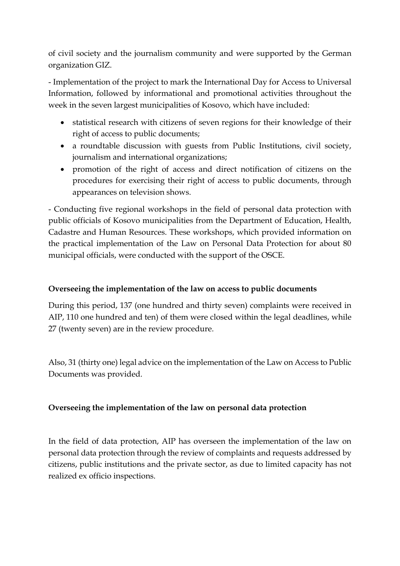of civil society and the journalism community and were supported by the German organization GIZ.

- Implementation of the project to mark the International Day for Access to Universal Information, followed by informational and promotional activities throughout the week in the seven largest municipalities of Kosovo, which have included:

- statistical research with citizens of seven regions for their knowledge of their right of access to public documents;
- a roundtable discussion with guests from Public Institutions, civil society, journalism and international organizations;
- promotion of the right of access and direct notification of citizens on the procedures for exercising their right of access to public documents, through appearances on television shows.

- Conducting five regional workshops in the field of personal data protection with public officials of Kosovo municipalities from the Department of Education, Health, Cadastre and Human Resources. These workshops, which provided information on the practical implementation of the Law on Personal Data Protection for about 80 municipal officials, were conducted with the support of the OSCE.

## **Overseeing the implementation of the law on access to public documents**

During this period, 137 (one hundred and thirty seven) complaints were received in AIP, 110 one hundred and ten) of them were closed within the legal deadlines, while 27 (twenty seven) are in the review procedure.

Also, 31 (thirty one) legal advice on the implementation of the Law on Access to Public Documents was provided.

## **Overseeing the implementation of the law on personal data protection**

In the field of data protection, AIP has overseen the implementation of the law on personal data protection through the review of complaints and requests addressed by citizens, public institutions and the private sector, as due to limited capacity has not realized ex officio inspections.